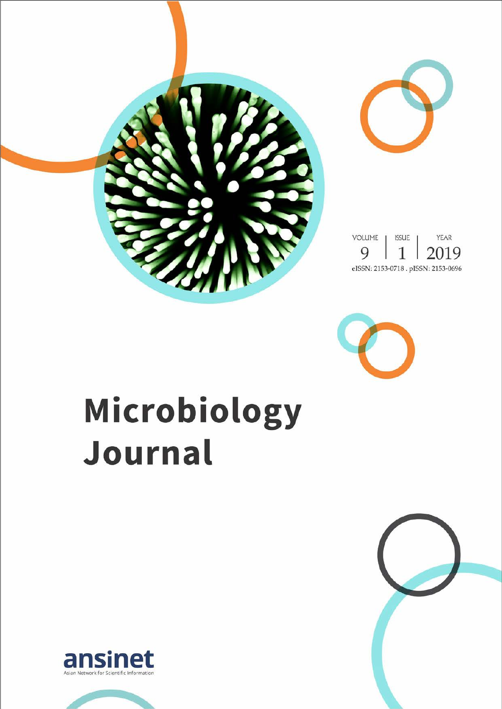



# Microbiology Journal



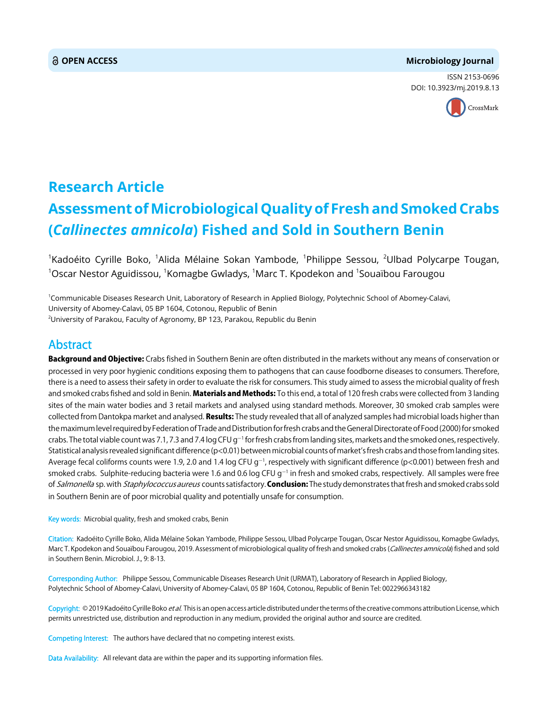#### **OPEN ACCESS Microbiology Journal**

ISSN 2153-0696 DOI: 10.3923/mj.2019.8.13



## **Research Article Assessment of Microbiological Quality of Fresh and Smoked Crabs (***Callinectes amnicola***) Fished and Sold in Southern Benin**

 $^{\text{1}}$ Kadoéito Cyrille Boko,  $^{\text{1}}$ Alida Mélaine Sokan Yambode,  $^{\text{1}}$ Philippe Sessou,  $^{\text{2}}$ Ulbad Polycarpe Tougan,  $^{\rm 1}$ Oscar Nestor Aguidissou,  $^{\rm 1}$ Komagbe Gwladys,  $^{\rm 1}$ Marc T. Kpodekon and  $^{\rm 1}$ Souaïbou Farougou

1 Communicable Diseases Research Unit, Laboratory of Research in Applied Biology, Polytechnic School of Abomey-Calavi, University of Abomey-Calavi, 05 BP 1604, Cotonou, Republic of Benin

 $^{2}$ University of Parakou, Faculty of Agronomy, BP 123, Parakou, Republic du Benin

### Abstract

Background and Objective: Crabs fished in Southern Benin are often distributed in the markets without any means of conservation or processed in very poor hygienic conditions exposing them to pathogens that can cause foodborne diseases to consumers. Therefore, there is a need to assess their safety in order to evaluate the risk for consumers. This study aimed to assess the microbial quality of fresh and smoked crabs fished and sold in Benin. Materials and Methods: To this end, a total of 120 fresh crabs were collected from 3 landing sites of the main water bodies and 3 retail markets and analysed using standard methods. Moreover, 30 smoked crab samples were collected from Dantokpa market and analysed. Results: The study revealed that all of analyzed samples had microbial loads higher than the maximum level required by Federation of Trade and Distribution for fresh crabs and the General Directorate of Food (2000) for smoked crabs. The total viable count was 7.1, 7.3 and 7.4 log CFU g<sup>-1</sup> for fresh crabs from landing sites, markets and the smoked ones, respectively. Statistical analysis revealed significant difference (p<0.01) between microbial counts of market's fresh crabs and those from landing sites. Average fecal coliforms counts were 1.9, 2.0 and 1.4 log CFU g<sup>-1</sup>, respectively with significant difference (p<0.001) between fresh and smoked crabs. Sulphite-reducing bacteria were 1.6 and 0.6 log CFU g $^{-1}$  in fresh and smoked crabs, respectively. All samples were free of Salmonella sp. with Staphylococcus aureus counts satisfactory. Conclusion: The study demonstrates that fresh and smoked crabs sold in Southern Benin are of poor microbial quality and potentially unsafe for consumption.

Key words: Microbial quality, fresh and smoked crabs, Benin

Citation: Kadoéito Cyrille Boko, Alida Mélaine Sokan Yambode, Philippe Sessou, Ulbad Polycarpe Tougan, Oscar Nestor Aguidissou, Komagbe Gwladys, Marc T. Kpodekon and Souaïbou Farougou, 2019. Assessment of microbiological quality of fresh and smoked crabs (Callinectes amnicola) fished and sold in Southern Benin. Microbiol. J., 9: 8-13.

Corresponding Author: Philippe Sessou, Communicable Diseases Research Unit (URMAT), Laboratory of Research in Applied Biology, Polytechnic School of Abomey-Calavi, University of Abomey-Calavi, 05 BP 1604, Cotonou, Republic of Benin Tel: 0022966343182

Copyright: © 2019 Kadoéito Cyrille Boko et al. This is an open access article distributed under the terms of the creative commons attribution License, which permits unrestricted use, distribution and reproduction in any medium, provided the original author and source are credited.

Competing Interest: The authors have declared that no competing interest exists.

Data Availability: All relevant data are within the paper and its supporting information files.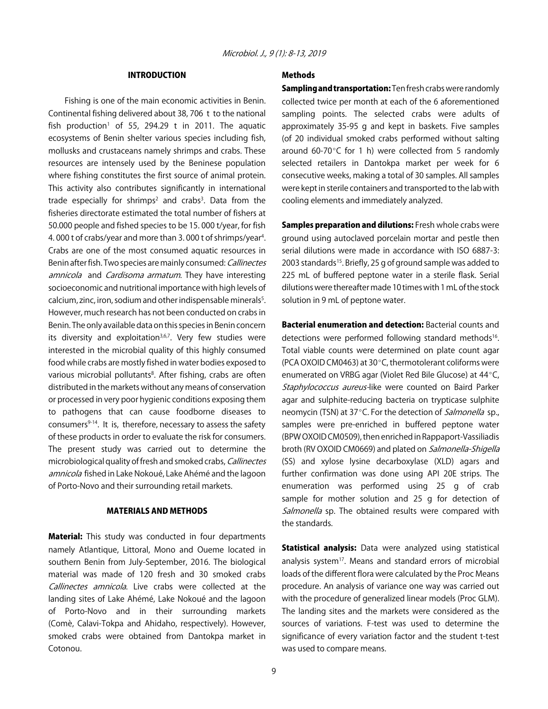#### INTRODUCTION

Fishing is one of the main economic activities in Benin. Continental fishing delivered about 38, 706 t to the national fish production<sup>1</sup> of 55, 294.29 t in 2011. The aquatic ecosystems of Benin shelter various species including fish, mollusks and crustaceans namely shrimps and crabs. These resources are intensely used by the Beninese population where fishing constitutes the first source of animal protein. This activity also contributes significantly in international trade especially for shrimps<sup>2</sup> and crabs<sup>3</sup>. Data from the fisheries directorate estimated the total number of fishers at 50.000 people and fished species to be 15. 000 t/year, for fish 4.000 t of crabs/year and more than 3.000 t of shrimps/year<sup>4</sup>. Crabs are one of the most consumed aquatic resources in Benin after fish. Two species are mainly consumed: Callinectes amnicola and Cardisoma armatum. They have interesting socioeconomic and nutritional importance with high levels of calcium, zinc, iron, sodium and other indispensable minerals<sup>5</sup>. However, much research has not been conducted on crabs in Benin. The only available data on this species in Benin concern its diversity and exploitation $3,6,7$ . Very few studies were interested in the microbial quality of this highly consumed food while crabs are mostly fished in water bodies exposed to various microbial pollutants<sup>8</sup>. After fishing, crabs are often distributed in the markets without any means of conservation or processed in very poor hygienic conditions exposing them to pathogens that can cause foodborne diseases to consumers<sup>9-14</sup>. It is, therefore, necessary to assess the safety of these products in order to evaluate the risk for consumers. The present study was carried out to determine the microbiological quality of fresh and smoked crabs, Callinectes amnicola fished in Lake Nokoué, Lake Ahémé and the lagoon of Porto-Novo and their surrounding retail markets.

#### MATERIALS AND METHODS

**Material:** This study was conducted in four departments namely Atlantique, Littoral, Mono and Oueme located in southern Benin from July-September, 2016. The biological material was made of 120 fresh and 30 smoked crabs Callinectes amnicola. Live crabs were collected at the landing sites of Lake Ahémé, Lake Nokoué and the lagoon of Porto-Novo and in their surrounding markets (Comè, Calavi-Tokpa and Ahidaho, respectively). However, smoked crabs were obtained from Dantokpa market in Cotonou.

#### Methods

Sampling and transportation: Ten fresh crabs were randomly collected twice per month at each of the 6 aforementioned sampling points. The selected crabs were adults of approximately 35-95 g and kept in baskets. Five samples (of 20 individual smoked crabs performed without salting around 60-70 $\degree$ C for 1 h) were collected from 5 randomly selected retailers in Dantokpa market per week for 6 consecutive weeks, making a total of 30 samples. All samples were kept in sterile containers and transported to the lab with cooling elements and immediately analyzed.

Samples preparation and dilutions: Fresh whole crabs were ground using autoclaved porcelain mortar and pestle then serial dilutions were made in accordance with ISO 6887-3: 2003 standards<sup>15</sup>. Briefly, 25 g of ground sample was added to 225 mL of buffered peptone water in a sterile flask. Serial dilutions were thereafter made 10 times with 1 mL of the stock solution in 9 mL of peptone water.

Bacterial enumeration and detection: Bacterial counts and detections were performed following standard methods<sup>16</sup>. Total viable counts were determined on plate count agar (PCA OXOID CM0463) at 30 $^{\circ}$ C, thermotolerant coliforms were enumerated on VRBG agar (Violet Red Bile Glucose) at 44°C, Staphylococcus aureus-like were counted on Baird Parker agar and sulphite-reducing bacteria on trypticase sulphite neomycin (TSN) at 37°C. For the detection of *Salmonella* sp., samples were pre-enriched in buffered peptone water (BPW OXOID CM0509), then enriched in Rappaport-Vassiliadis broth (RV OXOID CM0669) and plated on Salmonella-Shigella (SS) and xylose lysine decarboxylase (XLD) agars and further confirmation was done using API 20E strips. The enumeration was performed using 25 g of crab sample for mother solution and 25 g for detection of Salmonella sp. The obtained results were compared with the standards.

**Statistical analysis:** Data were analyzed using statistical analysis system $17$ . Means and standard errors of microbial loads of the different flora were calculated by the Proc Means procedure. An analysis of variance one way was carried out with the procedure of generalized linear models (Proc GLM). The landing sites and the markets were considered as the sources of variations. F-test was used to determine the significance of every variation factor and the student t-test was used to compare means.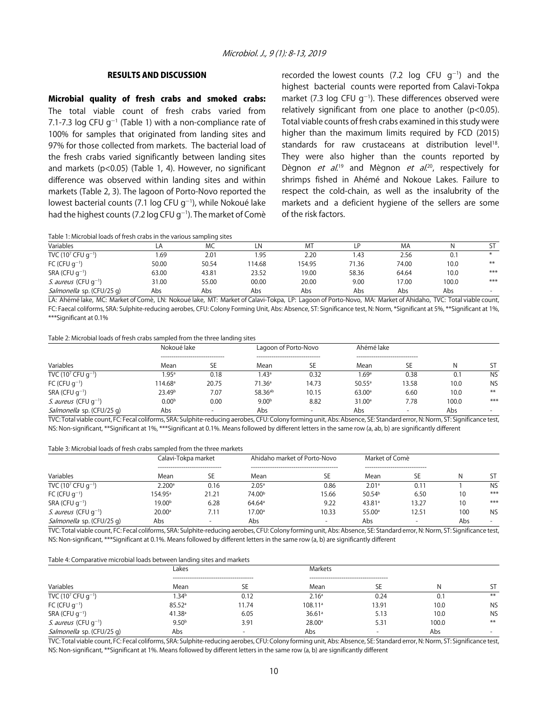#### RESULTS AND DISCUSSION

Microbial quality of fresh crabs and smoked crabs: The total viable count of fresh crabs varied from 7.1-7.3 log CFU  $g^{-1}$  (Table 1) with a non-compliance rate of 100% for samples that originated from landing sites and 97% for those collected from markets. The bacterial load of the fresh crabs varied significantly between landing sites and markets (p<0.05) (Table 1, 4). However, no significant difference was observed within landing sites and within markets (Table 2, 3). The lagoon of Porto-Novo reported the lowest bacterial counts (7.1 log CFU g<sup>-1</sup>), while Nokoué lake had the highest counts (7.2 log CFU g<sup>-1</sup>). The market of Comè

recorded the lowest counts  $(7.2 \text{ log } CFU \text{ g}^{-1})$  and the highest bacterial counts were reported from Calavi-Tokpa market (7.3 log CFU  $g^{-1}$ ). These differences observed were relatively significant from one place to another (p<0.05). Total viable counts of fresh crabs examined in this study were higher than the maximum limits required by FCD (2015) standards for raw crustaceans at distribution level<sup>18</sup>. They were also higher than the counts reported by Dègnon *et al*.<sup>19</sup> and Mègnon *et al*.<sup>20</sup>, respectively for shrimps fished in Ahémé and Nokoue Lakes. Failure to respect the cold-chain, as well as the insalubrity of the markets and a deficient hygiene of the sellers are some of the risk factors.

Table 1: Microbial loads of fresh crabs in the various sampling sites

| Variables                           | டA    | MC    |       | M <sub>7</sub> |       | МA    |       |        |
|-------------------------------------|-------|-------|-------|----------------|-------|-------|-------|--------|
| TVC (10 <sup>7</sup> CFU $q^{-1}$ ) | .69   | 2.01  | .95   | 2.20           | l.43  | 2.56  | U.I   |        |
| FC (CFU $q^{-1}$ )                  | 50.00 | 50.54 | 14.68 | 154.95         | 71.36 | 74.00 | 10.0  | $***$  |
| $SRA$ (CFU $q^{-1}$ )               | 63.00 | 43.81 | 23.52 | 19.00          | 58.36 | 64.64 | 10.0  | $***$  |
| <i>S. aureus</i> (CFU $q^{-1}$ )    | 31.00 | 55.00 | 00.00 | 20.00          | 9.00  | 17.00 | 100.0 | $***$  |
| Salmonella sp. (CFU/25 g)           | Abs   | Abs   | Abs   | Abs            | Abs   | Abs   | Abs   | $\sim$ |

LA: Ahémé lake, MC: Market of Comè, LN: Nokoué lake, MT: Market of Calavi-Tokpa, LP: Lagoon of Porto-Novo, MA: Market of Ahidaho, TVC: Total viable count, FC: Faecal coliforms, SRA: Sulphite-reducing aerobes, CFU: Colony Forming Unit, Abs: Absence, ST: Significance test, N: Norm, \*Significant at 5%, \*\*Significant at 1%, \*\*\*Significant at 0.1%

#### Table 2: Microbial loads of fresh crabs sampled from the three landing sites

|                                     | Nokoué lake         |                                        | Lagoon of Porto-Novo                     |                          | Ahémé lake         |                                       |       |                          |
|-------------------------------------|---------------------|----------------------------------------|------------------------------------------|--------------------------|--------------------|---------------------------------------|-------|--------------------------|
| Variables                           | Mean                | --------------------------------<br>SE | --------------------------------<br>Mean | SE                       | Mean               | -------------------------------<br>SE | N     | <b>ST</b>                |
| TVC (10 <sup>7</sup> CFU $q^{-1}$ ) | .95 <sup>a</sup>    | 0.18                                   | $1.43$ <sup>a</sup>                      | 0.32                     | 1.69a              | 0.38                                  | U.I   | <b>NS</b>                |
| FC (CFU $q^{-1}$ )                  | 114.68 <sup>a</sup> | 20.75                                  | 71.36 <sup>a</sup>                       | 14.73                    | $50.55^{\circ}$    | 13.58                                 | 10.0  | <b>NS</b>                |
| $SRA$ (CFU $q^{-1}$ )               | 23.49 <sup>b</sup>  | 7.07                                   | 58.36 <sup>ab</sup>                      | 10.15                    | 63.00a             | 6.60                                  | 10.0  | $***$                    |
| S. aureus (CFU g <sup>-1</sup> )    | 0.00 <sup>b</sup>   | 0.00                                   | 9.00 <sup>b</sup>                        | 8.82                     | 31.00 <sup>a</sup> | 7.78                                  | 100.0 | ***                      |
| <i>Salmonella</i> sp. (CFU/25 q)    | Abs                 | $\overline{\phantom{0}}$               | Abs                                      | $\overline{\phantom{a}}$ | Abs                | $\overline{\phantom{0}}$              | Abs   | $\overline{\phantom{a}}$ |

TVC: Total viable count, FC: Fecal coliforms, SRA: Sulphite-reducing aerobes, CFU: Colony forming unit, Abs: Absence, SE: Standard error, N: Norm, ST: Significance test, NS: Non-significant, \*\*Significant at 1%, \*\*\*Significant at 0.1%. Means followed by different letters in the same row (a, ab, b) are significantly different

#### Table 3: Microbial loads of fresh crabs sampled from the three markets

|                                     | Calavi-Tokpa market |                                  | Market of Comè<br>Ahidaho market of Porto-Novo |                          |                    |                                 |     |           |
|-------------------------------------|---------------------|----------------------------------|------------------------------------------------|--------------------------|--------------------|---------------------------------|-----|-----------|
| Variables                           | Mean                | -------------------------------- | Mean                                           | SЕ                       | Mean               | ------------------------------- |     | ST        |
| TVC (10 <sup>7</sup> CFU $q^{-1}$ ) | 2.200a              | 0.16                             | $2.05^a$                                       | 0.86                     | 2.01a              | $0.1^{\circ}$                   |     | <b>NS</b> |
| FC (CFU $q^{-1}$ )                  | $154.95^{\circ}$    | 21.21                            | 74.00 <sup>b</sup>                             | 15.66                    | 50.54 <sup>b</sup> | 6.50                            |     | ***       |
| $SRA$ (CFU $q^{-1}$ )               | 19.00 <sup>b</sup>  | 6.28                             | $64.64^{\circ}$                                | 9.22                     | 43.81a             | 13.27                           | 10  | ***       |
| S. aureus (CFU q <sup>-1</sup> )    | 20.00 <sup>a</sup>  | 7.11                             | $17.00^{\circ}$                                | 10.33                    | 55.00 <sup>a</sup> | 12.51                           | 100 | <b>NS</b> |
| Salmonella sp. (CFU/25 g)           | Abs                 |                                  | Abs                                            | $\overline{\phantom{0}}$ | Abs                |                                 | Abs | $\sim$    |

TVC: Total viable count, FC: Fecal coliforms, SRA: Sulphite-reducing aerobes, CFU: Colony forming unit, Abs: Absence, SE: Standard error, N: Norm, ST: Significance test, NS: Non-significant, \*\*\*Significant at 0.1%. Means followed by different letters in the same row (a, b) are significantly different

#### Table 4: Comparative microbial loads between landing sites and markets

|                                     | Lakes              |                          | <b>Markets</b>     |                          |       |           |
|-------------------------------------|--------------------|--------------------------|--------------------|--------------------------|-------|-----------|
|                                     |                    |                          |                    |                          |       |           |
| Variables                           | Mean               | <b>SE</b>                | Mean               | SE                       | N     |           |
| TVC (10 <sup>7</sup> CFU $q^{-1}$ ) | .34 <sup>b</sup>   | 0.12                     | 2.16 <sup>a</sup>  | 0.24                     | 0.1   | $***$     |
| FC (CFU $g^{-1}$ )                  | 85.52a             | 11.74                    | $108.11^{\circ}$   | 13.91                    | 10.0  | <b>NS</b> |
| $SRA$ (CFU $q^{-1}$ )               | 41.38 <sup>a</sup> | 6.05                     | 36.61a             | 5.13                     | 10.0  | <b>NS</b> |
| S. aureus (CFU g <sup>-1</sup> )    | 9.50 <sup>b</sup>  | 3.91                     | 28.00 <sup>a</sup> | 5.31                     | 100.0 | $***$     |
| Salmonella sp. (CFU/25 g)           | Abs                | $\overline{\phantom{a}}$ | Abs                | $\overline{\phantom{0}}$ | Abs   | $\sim$    |

TVC: Total viable count, FC: Fecal coliforms, SRA: Sulphite-reducing aerobes, CFU: Colony forming unit, Abs: Absence, SE: Standard error, N: Norm, ST: Significance test, NS: Non-significant, \*\*Significant at 1%. Means followed by different letters in the same row (a, b) are significantly different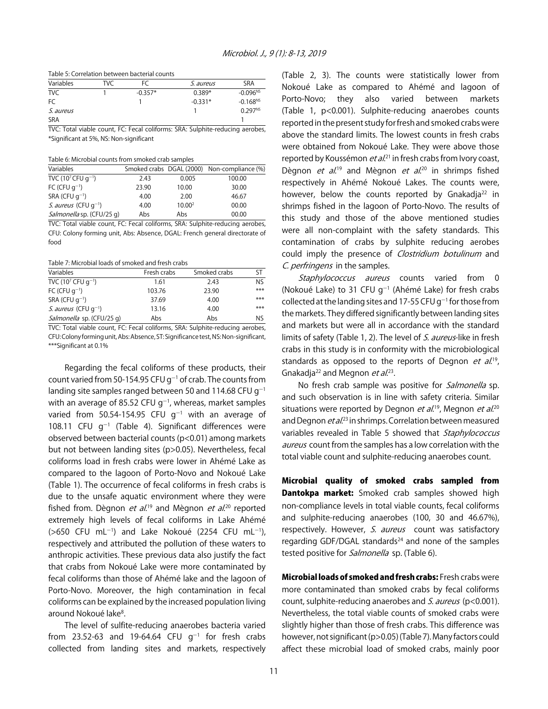Table 5: Correlation between bacterial counts

| Variables        | TVC | FC        | <i>S. aureus</i> | SRA                 |
|------------------|-----|-----------|------------------|---------------------|
| <b>TVC</b>       |     | $-0.357*$ | $0.389*$         | $-0.096^{NS}$       |
| FC               |     |           | $-0.331*$        | $-0.168^{NS}$       |
| <i>S. aureus</i> |     |           |                  | 0.297 <sup>NS</sup> |
| <b>SRA</b>       |     |           |                  |                     |

TVC: Total viable count, FC: Fecal coliforms: SRA: Sulphite-reducing aerobes, \*Significant at 5%, NS: Non-significant

Table 6: Microbial counts from smoked crab samples

| Variables                           |       |                    | Smoked crabs DGAL (2000) Non-compliance (%) |
|-------------------------------------|-------|--------------------|---------------------------------------------|
| TVC (10 <sup>7</sup> CFU $q^{-1}$ ) | 2.43  | 0.005              | 100.00                                      |
| FC (CFU $q^{-1}$ )                  | 23.90 | 10.00              | 30.00                                       |
| SRA (CFU $q^{-1}$ )                 | 4.00  | 2.00               | 46.67                                       |
| <i>S. aureus</i> (CFU $q^{-1}$ )    | 4.00  | 10.00 <sup>2</sup> | 00.00                                       |
| Salmonella sp. (CFU/25 q)           | Abs   | Abs                | 00.00                                       |

TVC: Total viable count, FC: Fecal coliforms, SRA: Sulphite-reducing aerobes, CFU: Colony forming unit, Abs: Absence, DGAL: French general directorate of food

Table 7: Microbial loads of smoked and fresh crabs

| Variables                           | Fresh crabs | Smoked crabs | ST  |
|-------------------------------------|-------------|--------------|-----|
| TVC (10 <sup>7</sup> CFU $q^{-1}$ ) | 1.61        | 2.43         | N٢  |
| FC (CFU $q^{-1}$ )                  | 103.76      | 23.90        | *** |
| SRA (CFU $q^{-1}$ )                 | 37.69       | 4.00         | *** |
| <i>S. aureus</i> (CFU $q^{-1}$ )    | 13.16       | 4.00         | *** |
| Salmonella sp. (CFU/25 q)           | Abs         | Abs          | N۲  |

TVC: Total viable count, FC: Fecal coliforms, SRA: Sulphite-reducing aerobes, CFU: Colony forming unit, Abs: Absence, ST: Significance test, NS: Non-significant, \*\*\*Significant at 0.1%

Regarding the fecal coliforms of these products, their count varied from 50-154.95 CFU  $g^{-1}$  of crab. The counts from landing site samples ranged between 50 and 114.68 CFU  $q^{-1}$ with an average of 85.52 CFU g<sup>-1</sup>, whereas, market samples varied from 50.54-154.95 CFU  $g^{-1}$  with an average of 108.11 CFU  $g^{-1}$  (Table 4). Significant differences were observed between bacterial counts (p<0.01) among markets but not between landing sites (p>0.05). Nevertheless, fecal coliforms load in fresh crabs were lower in Ahémé Lake as compared to the lagoon of Porto-Novo and Nokoué Lake (Table 1). The occurrence of fecal coliforms in fresh crabs is due to the unsafe aquatic environment where they were fished from. Dègnon *et al*.<sup>19</sup> and Mègnon *et al*.<sup>20</sup> reported extremely high levels of fecal coliforms in Lake Ahémé  $($ >650 CFU mL<sup>-1</sup>) and Lake Nokoué (2254 CFU mL<sup>-1</sup>), respectively and attributed the pollution of these waters to anthropic activities. These previous data also justify the fact that crabs from Nokoué Lake were more contaminated by fecal coliforms than those of Ahémé lake and the lagoon of Porto-Novo. Moreover, the high contamination in fecal coliforms can be explained by the increased population living around Nokoué lake<sup>8</sup>.

The level of sulfite-reducing anaerobes bacteria varied from 23.52-63 and 19-64.64 CFU  $g^{-1}$  for fresh crabs collected from landing sites and markets, respectively

(Table 2, 3). The counts were statistically lower from Nokoué Lake as compared to Ahémé and lagoon of Porto-Novo; they also varied between markets (Table 1, p<0.001). Sulphite-reducing anaerobes counts reported in the present study for fresh and smoked crabs were above the standard limits. The lowest counts in fresh crabs were obtained from Nokoué Lake. They were above those reported by Koussémon *et al*.<sup>21</sup> in fresh crabs from Ivory coast, Dègnon *et al*.<sup>19</sup> and Mègnon *et al*.<sup>20</sup> in shrimps fished respectively in Ahémé Nokoué Lakes. The counts were, however, below the counts reported by Gnakadja<sup>22</sup> in shrimps fished in the lagoon of Porto-Novo. The results of this study and those of the above mentioned studies were all non-complaint with the safety standards. This contamination of crabs by sulphite reducing aerobes could imply the presence of *Clostridium botulinum* and C. perfringens in the samples.

Staphylococcus aureus counts varied from 0 (Nokoué Lake) to 31 CFU  $g^{-1}$  (Ahémé Lake) for fresh crabs collected at the landing sites and 17-55 CFU g<sup>-1</sup> for those from the markets. They differed significantly between landing sites and markets but were all in accordance with the standard limits of safety (Table 1, 2). The level of S. aureus-like in fresh crabs in this study is in conformity with the microbiological standards as opposed to the reports of Degnon *et al.*<sup>19</sup>, Gnakadja<sup>22</sup> and Megnon *et al.*<sup>23</sup>.

No fresh crab sample was positive for *Salmonella* sp. and such observation is in line with safety criteria. Similar situations were reported by Degnon *et al*.<sup>19</sup>, Megnon *et al.*<sup>20</sup> and Degnon *et al.*<sup>23</sup> in shrimps. Correlation between measured variables revealed in Table 5 showed that Staphylococcus aureus count from the samples has a low correlation with the total viable count and sulphite-reducing anaerobes count.

Microbial quality of smoked crabs sampled from Dantokpa market: Smoked crab samples showed high non-compliance levels in total viable counts, fecal coliforms and sulphite-reducing anaerobes (100, 30 and 46.67%), respectively. However, S. aureus count was satisfactory regarding GDF/DGAL standards $24$  and none of the samples tested positive for *Salmonella* sp. (Table 6).

Microbial loads of smoked and fresh crabs: Fresh crabs were more contaminated than smoked crabs by fecal coliforms count, sulphite-reducing anaerobes and S. aureus (p<0.001). Nevertheless, the total viable counts of smoked crabs were slightly higher than those of fresh crabs. This difference was however, not significant (p>0.05) (Table 7). Many factors could affect these microbial load of smoked crabs, mainly poor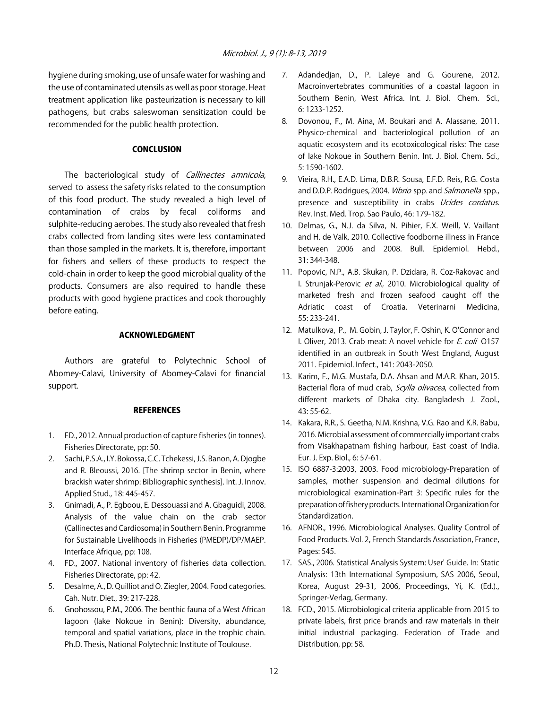hygiene during smoking, use of unsafe water for washing and the use of contaminated utensils as well as poor storage. Heat treatment application like pasteurization is necessary to kill pathogens, but crabs saleswoman sensitization could be recommended for the public health protection.

#### **CONCLUSION**

The bacteriological study of Callinectes amnicola, served to assess the safety risks related to the consumption of this food product. The study revealed a high level of contamination of crabs by fecal coliforms and sulphite-reducing aerobes. The study also revealed that fresh crabs collected from landing sites were less contaminated than those sampled in the markets. It is, therefore, important for fishers and sellers of these products to respect the cold-chain in order to keep the good microbial quality of the products. Consumers are also required to handle these products with good hygiene practices and cook thoroughly before eating.

#### ACKNOWLEDGMENT

Authors are grateful to Polytechnic School of Abomey-Calavi, University of Abomey-Calavi for financial support.

#### **REFERENCES**

- 1. FD., 2012. Annual production of capture fisheries (in tonnes). Fisheries Directorate, pp: 50.
- 2. Sachi, P.S.A., I.Y. Bokossa, C.C. Tchekessi, J.S. Banon, A. Djogbe and R. Bleoussi, 2016. [The shrimp sector in Benin, where brackish water shrimp: Bibliographic synthesis]. Int. J. Innov. Applied Stud., 18: 445-457.
- 3. Gnimadi, A., P. Egboou, E. Dessouassi and A. Gbaguidi, 2008. Analysis of the value chain on the crab sector (Callinectes and Cardiosoma) in Southern Benin. Programme for Sustainable Livelihoods in Fisheries (PMEDP)/DP/MAEP. Interface Afrique, pp: 108.
- 4. FD., 2007. National inventory of fisheries data collection. Fisheries Directorate, pp: 42.
- 5. Desalme, A., D. Quilliot and O. Ziegler, 2004. Food categories. Cah. Nutr. Diet., 39: 217-228.
- 6. Gnohossou, P.M., 2006. The benthic fauna of a West African lagoon (lake Nokoue in Benin): Diversity, abundance, temporal and spatial variations, place in the trophic chain. Ph.D. Thesis, National Polytechnic Institute of Toulouse.
- 7. Adandedjan, D., P. Laleye and G. Gourene, 2012. Macroinvertebrates communities of a coastal lagoon in Southern Benin, West Africa. Int. J. Biol. Chem. Sci., 6: 1233-1252.
- 8. Dovonou, F., M. Aina, M. Boukari and A. Alassane, 2011. Physico-chemical and bacteriological pollution of an aquatic ecosystem and its ecotoxicological risks: The case of lake Nokoue in Southern Benin. Int. J. Biol. Chem. Sci., 5: 1590-1602.
- 9. Vieira, R.H., E.A.D. Lima, D.B.R. Sousa, E.F.D. Reis, R.G. Costa and D.D.P. Rodrigues, 2004. Vibrio spp. and Salmonella spp., presence and susceptibility in crabs *Ucides cordatus*. Rev. Inst. Med. Trop. Sao Paulo, 46: 179-182.
- 10. Delmas, G., N.J. da Silva, N. Pihier, F.X. Weill, V. Vaillant and H. de Valk, 2010. Collective foodborne illness in France between 2006 and 2008. Bull. Epidemiol. Hebd., 31: 344-348.
- 11. Popovic, N.P., A.B. Skukan, P. Dzidara, R. Coz-Rakovac and I. Strunjak-Perovic et al., 2010. Microbiological quality of marketed fresh and frozen seafood caught off the Adriatic coast of Croatia. Veterinarni Medicina, 55: 233-241.
- 12. Matulkova, P., M. Gobin, J. Taylor, F. Oshin, K. O'Connor and I. Oliver, 2013. Crab meat: A novel vehicle for E. coli O157 identified in an outbreak in South West England, August 2011. Epidemiol. Infect., 141: 2043-2050.
- 13. Karim, F., M.G. Mustafa, D.A. Ahsan and M.A.R. Khan, 2015. Bacterial flora of mud crab, Scylla olivacea, collected from different markets of Dhaka city. Bangladesh J. Zool., 43: 55-62.
- 14. Kakara, R.R., S. Geetha, N.M. Krishna, V.G. Rao and K.R. Babu, 2016. Microbial assessment of commercially important crabs from Visakhapatnam fishing harbour, East coast of India. Eur. J. Exp. Biol., 6: 57-61.
- 15. ISO 6887-3:2003, 2003. Food microbiology-Preparation of samples, mother suspension and decimal dilutions for microbiological examination-Part 3: Specific rules for the preparation of fishery products. International Organization for Standardization.
- 16. AFNOR., 1996. Microbiological Analyses. Quality Control of Food Products. Vol. 2, French Standards Association, France, Pages: 545.
- 17. SAS., 2006. Statistical Analysis System: User' Guide. In: Static Analysis: 13th International Symposium, SAS 2006, Seoul, Korea, August 29-31, 2006, Proceedings, Yi, K. (Ed.)., Springer-Verlag, Germany.
- 18. FCD., 2015. Microbiological criteria applicable from 2015 to private labels, first price brands and raw materials in their initial industrial packaging. Federation of Trade and Distribution, pp: 58.